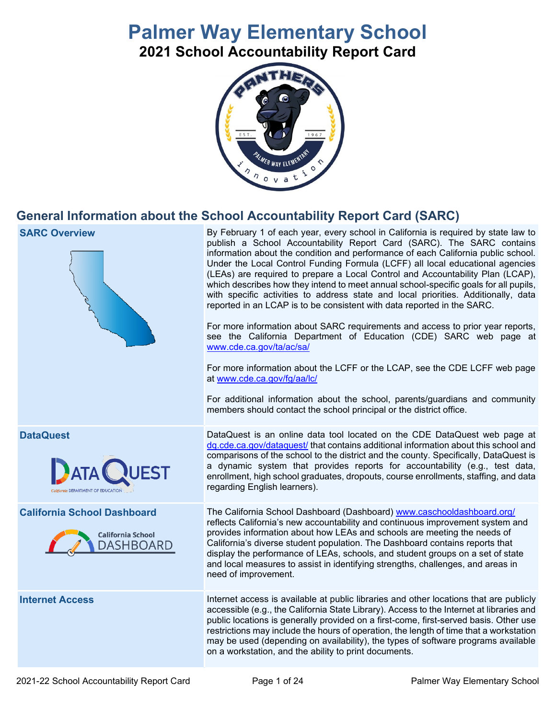# **Palmer Way Elementary School**

**2021 School Accountability Report Card** 



## **General Information about the School Accountability Report Card (SARC)**



 By February 1 of each year, every school in California is required by state law to Under the Local Control Funding Formula (LCFF) all local educational agencies (LEAs) are required to prepare a Local Control and Accountability Plan (LCAP), which describes how they intend to meet annual school-specific goals for all pupils, with specific activities to address state and local priorities. Additionally, data reported in an LCAP is to be consistent with data reported in the SARC. publish a School Accountability Report Card (SARC). The SARC contains information about the condition and performance of each California public school.

 For more information about SARC requirements and access to prior year reports, see the California Department of Education (CDE) SARC web page at [www.cde.ca.gov/ta/ac/sa/](https://www.cde.ca.gov/ta/ac/sa/) 

 For more information about the LCFF or the LCAP, see the CDE LCFF web page at [www.cde.ca.gov/fg/aa/lc/](https://www.cde.ca.gov/fg/aa/lc/) 

For additional information about the school, parents/guardians and community members should contact the school principal or the district office.

 DataQuest is an online data tool located on the CDE DataQuest web page at [dq.cde.ca.gov/dataquest/ t](https://dq.cde.ca.gov/dataquest/)hat contains additional information about this school and a dynamic system that provides reports for accountability (e.g., test data, enrollment, high school graduates, dropouts, course enrollments, staffing, and data comparisons of the school to the district and the county. Specifically, DataQuest is regarding English learners).

The California School Dashboard (Dashboard) www.caschooldashboard.org/ reflects California's new accountability and continuous improvement system and provides information about how LEAs and schools are meeting the needs of California's diverse student population. The Dashboard contains reports that display the performance of LEAs, schools, and student groups on a set of state and local measures to assist in identifying strengths, challenges, and areas in need of improvement.

**Internet Access Internet access is available at public libraries and other locations that are publicly**  accessible (e.g., the California State Library). Access to the Internet at libraries and restrictions may include the hours of operation, the length of time that a workstation may be used (depending on availability), the types of software programs available public locations is generally provided on a first-come, first-served basis. Other use on a workstation, and the ability to print documents.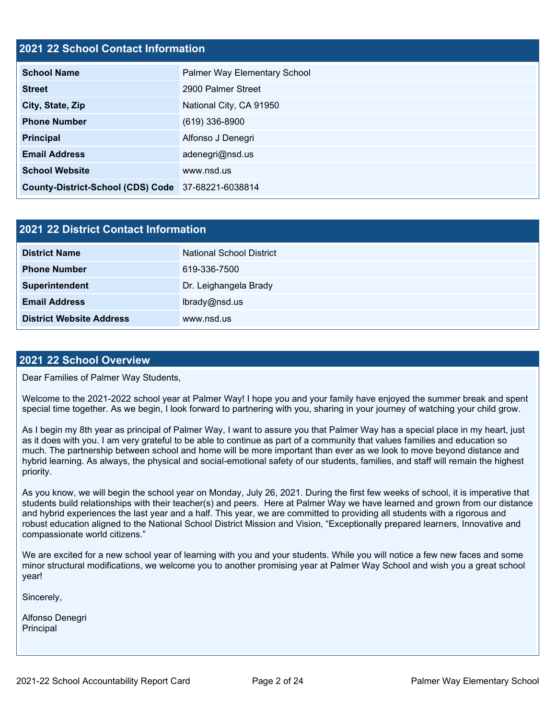#### **- 2021 22 School Contact Information**

| <b>School Name</b>                                 | Palmer Way Elementary School |  |  |  |
|----------------------------------------------------|------------------------------|--|--|--|
| <b>Street</b>                                      | 2900 Palmer Street           |  |  |  |
| City, State, Zip                                   | National City, CA 91950      |  |  |  |
| <b>Phone Number</b>                                | $(619)$ 336-8900             |  |  |  |
| <b>Principal</b>                                   | Alfonso J Denegri            |  |  |  |
| <b>Email Address</b>                               | adenegri@nsd.us              |  |  |  |
| <b>School Website</b>                              | www.nsd.us                   |  |  |  |
| County-District-School (CDS) Code 37-68221-6038814 |                              |  |  |  |

| 2021 22 District Contact Information |                          |  |  |
|--------------------------------------|--------------------------|--|--|
| <b>District Name</b>                 | National School District |  |  |
| <b>Phone Number</b>                  | 619-336-7500             |  |  |
| Superintendent                       | Dr. Leighangela Brady    |  |  |
| <b>Email Address</b>                 | lbrady@nsd.us            |  |  |
| <b>District Website Address</b>      | www.nsd.us               |  |  |

#### **- 2021 22 School Overview**

Dear Families of Palmer Way Students,

Welcome to the 2021-2022 school year at Palmer Way! I hope you and your family have enjoyed the summer break and spent special time together. As we begin, I look forward to partnering with you, sharing in your journey of watching your child grow.

 As I begin my 8th year as principal of Palmer Way, I want to assure you that Palmer Way has a special place in my heart, just as it does with you. I am very grateful to be able to continue as part of a community that values families and education so much. The partnership between school and home will be more important than ever as we look to move beyond distance and hybrid learning. As always, the physical and social-emotional safety of our students, families, and staff will remain the highest priority.

 As you know, we will begin the school year on Monday, July 26, 2021. During the first few weeks of school, it is imperative that students build relationships with their teacher(s) and peers. Here at Palmer Way we have learned and grown from our distance and hybrid experiences the last year and a half. This year, we are committed to providing all students with a rigorous and robust education aligned to the National School District Mission and Vision, "Exceptionally prepared learners, Innovative and compassionate world citizens."

 We are excited for a new school year of learning with you and your students. While you will notice a few new faces and some minor structural modifications, we welcome you to another promising year at Palmer Way School and wish you a great school year!

Sincerely,

Alfonso Denegri Principal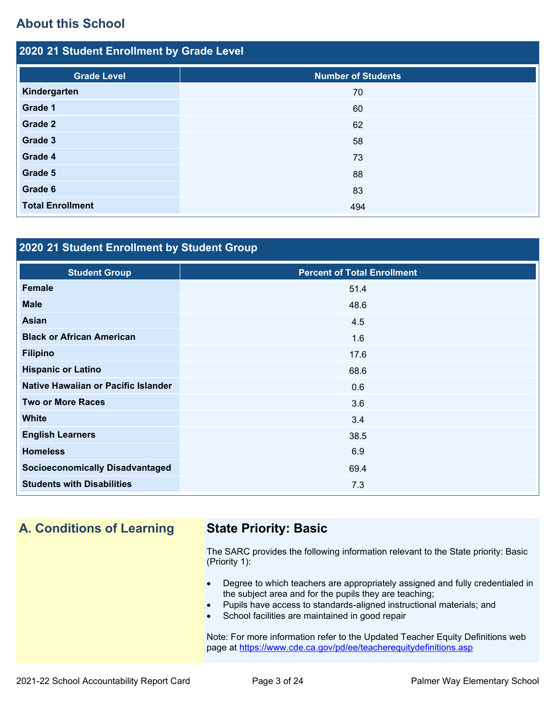## **About this School**

| 2020 21 Student Enrollment by Grade Level |                           |  |  |  |
|-------------------------------------------|---------------------------|--|--|--|
| <b>Grade Level</b>                        | <b>Number of Students</b> |  |  |  |
| Kindergarten                              | 70                        |  |  |  |
| Grade 1                                   | 60                        |  |  |  |
| <b>Grade 2</b>                            | 62                        |  |  |  |
| Grade 3                                   | 58                        |  |  |  |
| Grade 4                                   | 73                        |  |  |  |
| Grade 5                                   | 88                        |  |  |  |
| Grade 6                                   | 83                        |  |  |  |
| <b>Total Enrollment</b>                   | 494                       |  |  |  |

### **- 2020 21 Student Enrollment by Student Group**

| <b>Student Group</b>                   | <b>Percent of Total Enrollment</b> |
|----------------------------------------|------------------------------------|
| Female                                 | 51.4                               |
| <b>Male</b>                            | 48.6                               |
| Asian                                  | 4.5                                |
| <b>Black or African American</b>       | 1.6                                |
| <b>Filipino</b>                        | 17.6                               |
| <b>Hispanic or Latino</b>              | 68.6                               |
| Native Hawaiian or Pacific Islander    | 0.6                                |
| <b>Two or More Races</b>               | 3.6                                |
| <b>White</b>                           | 3.4                                |
| <b>English Learners</b>                | 38.5                               |
| <b>Homeless</b>                        | 6.9                                |
| <b>Socioeconomically Disadvantaged</b> | 69.4                               |
| <b>Students with Disabilities</b>      | 7.3                                |

## **A. Conditions of Learning State Priority: Basic**

The SARC provides the following information relevant to the State priority: Basic (Priority 1):

- Degree to which teachers are appropriately assigned and fully credentialed in the subject area and for the pupils they are teaching;
- Pupils have access to standards-aligned instructional materials; and
- School facilities are maintained in good repair

Note: For more information refer to the Updated Teacher Equity Definitions web page at<https://www.cde.ca.gov/pd/ee/teacherequitydefinitions.asp>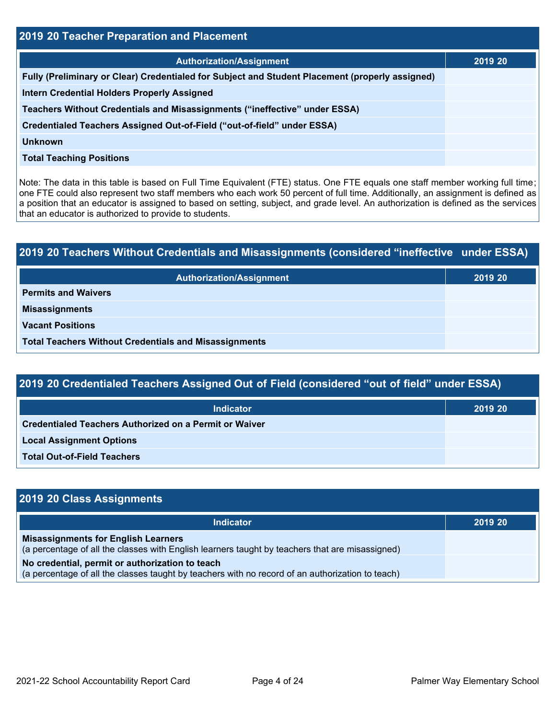| 2019 20 Teacher Preparation and Placement                                                       |         |  |  |  |
|-------------------------------------------------------------------------------------------------|---------|--|--|--|
| <b>Authorization/Assignment</b>                                                                 | 2019 20 |  |  |  |
| Fully (Preliminary or Clear) Credentialed for Subject and Student Placement (properly assigned) |         |  |  |  |
| <b>Intern Credential Holders Properly Assigned</b>                                              |         |  |  |  |
| Teachers Without Credentials and Misassignments ("ineffective" under ESSA)                      |         |  |  |  |
| Credentialed Teachers Assigned Out-of-Field ("out-of-field" under ESSA)                         |         |  |  |  |
| <b>Unknown</b>                                                                                  |         |  |  |  |
| <b>Total Teaching Positions</b>                                                                 |         |  |  |  |
|                                                                                                 |         |  |  |  |

 Note: The data in this table is based on Full Time Equivalent (FTE) status. One FTE equals one staff member working full time; a position that an educator is assigned to based on setting, subject, and grade level. An authorization is defined as the services one FTE could also represent two staff members who each work 50 percent of full time. Additionally, an assignment is defined as that an educator is authorized to provide to students.

| 2019 20 Teachers Without Credentials and Misassignments (considered "ineffective under ESSA) |         |  |  |  |
|----------------------------------------------------------------------------------------------|---------|--|--|--|
| <b>Authorization/Assignment</b>                                                              | 2019 20 |  |  |  |
| <b>Permits and Waivers</b>                                                                   |         |  |  |  |
| <b>Misassignments</b>                                                                        |         |  |  |  |
| <b>Vacant Positions</b>                                                                      |         |  |  |  |
| <b>Total Teachers Without Credentials and Misassignments</b>                                 |         |  |  |  |

## **- - - - - 2019 20 Credentialed Teachers Assigned Out of Field (considered "out of field" under ESSA)**

| <b>Indicator</b>                                              | 2019 20 |
|---------------------------------------------------------------|---------|
| <b>Credentialed Teachers Authorized on a Permit or Waiver</b> |         |
| <b>Local Assignment Options</b>                               |         |
| <b>Total Out-of-Field Teachers</b>                            |         |

| 2019 20 Class Assignments                                                                                                                           |         |
|-----------------------------------------------------------------------------------------------------------------------------------------------------|---------|
| Indicator                                                                                                                                           | 2019 20 |
| <b>Misassignments for English Learners</b><br>(a percentage of all the classes with English learners taught by teachers that are misassigned)       |         |
| No credential, permit or authorization to teach<br>(a percentage of all the classes taught by teachers with no record of an authorization to teach) |         |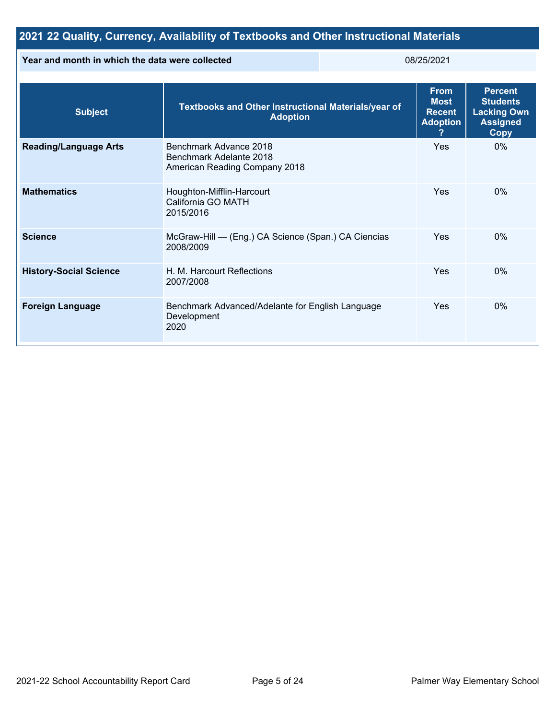## **2021 22 Quality, Currency, Availability of Textbooks and Other Instructional Materials**

#### **Year and month in which the data were collected** 08/25/2021

| <b>Subject</b>                | Textbooks and Other Instructional Materials/year of<br><b>Adoption</b>             | <b>From</b><br><b>Most</b><br><b>Recent</b><br><b>Adoption</b> | <b>Percent</b><br><b>Students</b><br><b>Lacking Own</b><br><b>Assigned</b><br><b>Copy</b> |
|-------------------------------|------------------------------------------------------------------------------------|----------------------------------------------------------------|-------------------------------------------------------------------------------------------|
| <b>Reading/Language Arts</b>  | Benchmark Advance 2018<br>Benchmark Adelante 2018<br>American Reading Company 2018 | Yes                                                            | $0\%$                                                                                     |
| <b>Mathematics</b>            | Houghton-Mifflin-Harcourt<br>California GO MATH<br>2015/2016                       | Yes                                                            | 0%                                                                                        |
| <b>Science</b>                | McGraw-Hill - (Eng.) CA Science (Span.) CA Ciencias<br>2008/2009                   | Yes                                                            | $0\%$                                                                                     |
| <b>History-Social Science</b> | H. M. Harcourt Reflections<br>2007/2008                                            | Yes                                                            | 0%                                                                                        |
| <b>Foreign Language</b>       | Benchmark Advanced/Adelante for English Language<br>Development<br>2020            | Yes                                                            | $0\%$                                                                                     |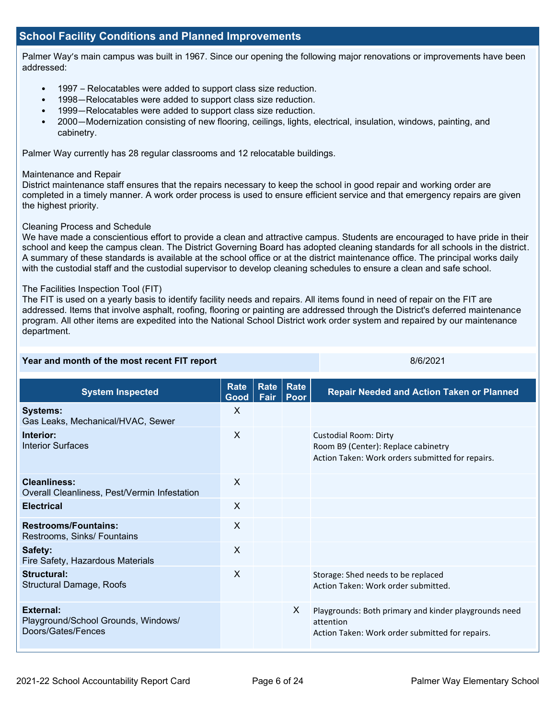#### **School Facility Conditions and Planned Improvements**

Palmer Way's main campus was built in 1967. Since our opening the following major renovations or improvements have been addressed:

- 1997 Relocatables were added to support class size reduction.
- 1998—Relocatables were added to support class size reduction.
- 1999—Relocatables were added to support class size reduction.
- 2000—Modernization consisting of new flooring, ceilings, lights, electrical, insulation, windows, painting, and cabinetry.

Palmer Way currently has 28 regular classrooms and 12 relocatable buildings.

#### Maintenance and Repair

District maintenance staff ensures that the repairs necessary to keep the school in good repair and working order are completed in a timely manner. A work order process is used to ensure efficient service and that emergency repairs are given the highest priority.

#### Cleaning Process and Schedule

 A summary of these standards is available at the school office or at the district maintenance office. The principal works daily We have made a conscientious effort to provide a clean and attractive campus. Students are encouraged to have pride in their school and keep the campus clean. The District Governing Board has adopted cleaning standards for all schools in the district. with the custodial staff and the custodial supervisor to develop cleaning schedules to ensure a clean and safe school.

#### The Facilities Inspection Tool (FIT)

The FIT is used on a yearly basis to identify facility needs and repairs. All items found in need of repair on the FIT are addressed. Items that involve asphalt, roofing, flooring or painting are addressed through the District's deferred maintenance program. All other items are expedited into the National School District work order system and repaired by our maintenance department.

| Year and month of the most recent FIT report                           |                     |              | 8/6/2021     |                                                                                                                         |  |
|------------------------------------------------------------------------|---------------------|--------------|--------------|-------------------------------------------------------------------------------------------------------------------------|--|
| <b>System Inspected</b>                                                | <b>Rate</b><br>Good | Rate<br>Fair | Rate<br>Poor | <b>Repair Needed and Action Taken or Planned</b>                                                                        |  |
| <b>Systems:</b><br>Gas Leaks, Mechanical/HVAC, Sewer                   | $\mathsf{X}$        |              |              |                                                                                                                         |  |
| Interior:<br><b>Interior Surfaces</b>                                  | X                   |              |              | <b>Custodial Room: Dirty</b><br>Room B9 (Center): Replace cabinetry<br>Action Taken: Work orders submitted for repairs. |  |
| <b>Cleanliness:</b><br>Overall Cleanliness, Pest/Vermin Infestation    | $\sf X$             |              |              |                                                                                                                         |  |
| <b>Electrical</b>                                                      | X                   |              |              |                                                                                                                         |  |
| <b>Restrooms/Fountains:</b><br>Restrooms, Sinks/ Fountains             | $\mathsf{X}$        |              |              |                                                                                                                         |  |
| Safety:<br>Fire Safety, Hazardous Materials                            | $\sf X$             |              |              |                                                                                                                         |  |
| <b>Structural:</b><br><b>Structural Damage, Roofs</b>                  | X                   |              |              | Storage: Shed needs to be replaced<br>Action Taken: Work order submitted.                                               |  |
| External:<br>Playground/School Grounds, Windows/<br>Doors/Gates/Fences |                     |              | X            | Playgrounds: Both primary and kinder playgrounds need<br>attention<br>Action Taken: Work order submitted for repairs.   |  |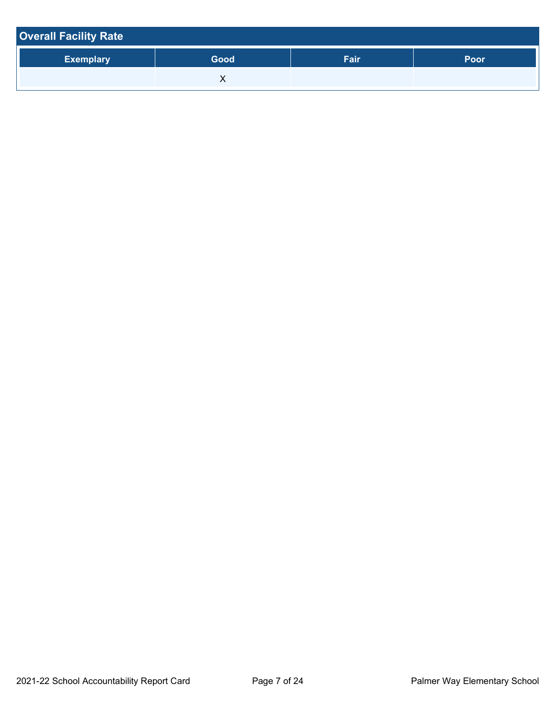| <b>Overall Facility Rate</b> |      |      |      |  |  |  |
|------------------------------|------|------|------|--|--|--|
| <b>Exemplary</b>             | Good | Fair | Poor |  |  |  |
|                              |      |      |      |  |  |  |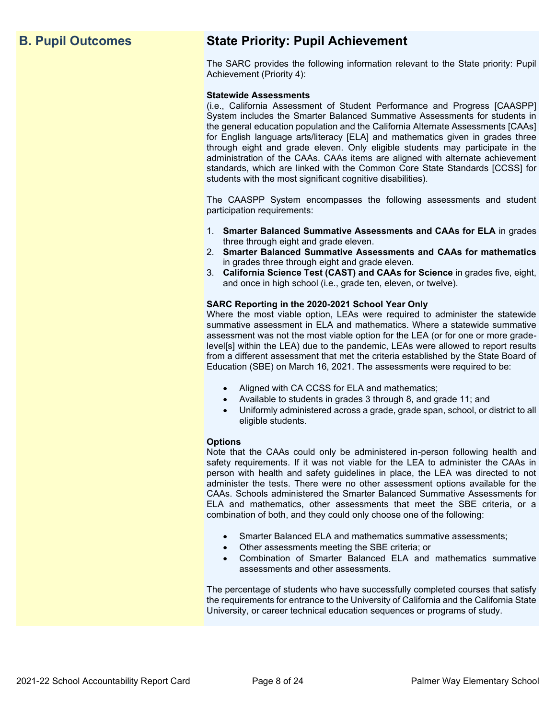## **B. Pupil Outcomes**

## **State Priority: Pupil Achievement**

 The SARC provides the following information relevant to the State priority: Pupil Achievement (Priority 4):

#### **Statewide Assessments**

 (i.e., California Assessment of Student Performance and Progress [CAASPP] System includes the Smarter Balanced Summative Assessments for students in the general education population and the California Alternate Assessments [CAAs] for English language arts/literacy [ELA] and mathematics given in grades three through eight and grade eleven. Only eligible students may participate in the administration of the CAAs. CAAs items are aligned with alternate achievement standards, which are linked with the Common Core State Standards [CCSS] for students with the most significant cognitive disabilities).

 The CAASPP System encompasses the following assessments and student participation requirements:

- 1. **Smarter Balanced Summative Assessments and CAAs for ELA** in grades three through eight and grade eleven.
- 2. **Smarter Balanced Summative Assessments and CAAs for mathematics**  in grades three through eight and grade eleven.
- 3. **California Science Test (CAST) and CAAs for Science** in grades five, eight, and once in high school (i.e., grade ten, eleven, or twelve).

#### **SARC Reporting in the 2020-2021 School Year Only**

 Where the most viable option, LEAs were required to administer the statewide assessment was not the most viable option for the LEA (or for one or more grade- level[s] within the LEA) due to the pandemic, LEAs were allowed to report results from a different assessment that met the criteria established by the State Board of Education (SBE) on March 16, 2021. The assessments were required to be: summative assessment in ELA and mathematics. Where a statewide summative

- Aligned with CA CCSS for ELA and mathematics;
- Available to students in grades 3 through 8, and grade 11; and
- • Uniformly administered across a grade, grade span, school, or district to all eligible students.

#### **Options**

 Note that the CAAs could only be administered in-person following health and safety requirements. If it was not viable for the LEA to administer the CAAs in person with health and safety guidelines in place, the LEA was directed to not administer the tests. There were no other assessment options available for the ELA and mathematics, other assessments that meet the SBE criteria, or a CAAs. Schools administered the Smarter Balanced Summative Assessments for combination of both, and they could only choose one of the following:

- Smarter Balanced ELA and mathematics summative assessments;
- Other assessments meeting the SBE criteria; or
- • Combination of Smarter Balanced ELA and mathematics summative assessments and other assessments.

 The percentage of students who have successfully completed courses that satisfy the requirements for entrance to the University of California and the California State University, or career technical education sequences or programs of study.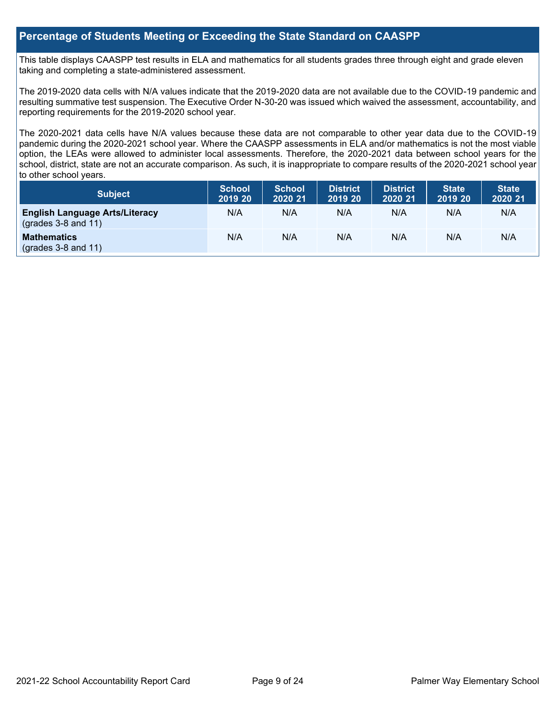#### **Percentage of Students Meeting or Exceeding the State Standard on CAASPP**

This table displays CAASPP test results in ELA and mathematics for all students grades three through eight and grade eleven taking and completing a state-administered assessment.

 resulting summative test suspension. The Executive Order N-30-20 was issued which waived the assessment, accountability, and The 2019-2020 data cells with N/A values indicate that the 2019-2020 data are not available due to the COVID-19 pandemic and reporting requirements for the 2019-2020 school year.

 The 2020-2021 data cells have N/A values because these data are not comparable to other year data due to the COVID-19 pandemic during the 2020-2021 school year. Where the CAASPP assessments in ELA and/or mathematics is not the most viable option, the LEAs were allowed to administer local assessments. Therefore, the 2020-2021 data between school years for the school, district, state are not an accurate comparison. As such, it is inappropriate to compare results of the 2020-2021 school year to other school years.

| Subject                                                              | <b>School</b><br>2019 20 | <b>School</b><br>2020 21 | <b>District</b><br>2019 20 | <b>District</b><br>2020 21 | <b>State</b><br>2019 20 | <b>State</b><br>2020 21 |
|----------------------------------------------------------------------|--------------------------|--------------------------|----------------------------|----------------------------|-------------------------|-------------------------|
| <b>English Language Arts/Literacy</b><br>$\left($ grades 3-8 and 11) | N/A                      | N/A                      | N/A                        | N/A                        | N/A                     | N/A                     |
| <b>Mathematics</b><br>$(grades 3-8 and 11)$                          | N/A                      | N/A                      | N/A                        | N/A                        | N/A                     | N/A                     |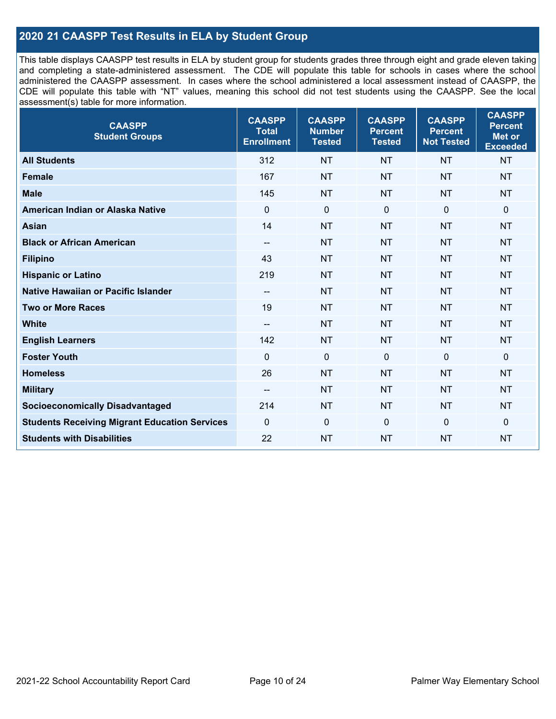### **2020 21 CAASPP Test Results in ELA by Student Group**

 and completing a state-administered assessment. The CDE will populate this table for schools in cases where the school administered the CAASPP assessment. In cases where the school administered a local assessment instead of CAASPP, the CDE will populate this table with "NT" values, meaning this school did not test students using the CAASPP. See the local This table displays CAASPP test results in ELA by student group for students grades three through eight and grade eleven taking assessment(s) table for more information.

| <b>CAASPP</b><br><b>Student Groups</b>               | <b>CAASPP</b><br><b>Total</b><br><b>Enrollment</b> | <b>CAASPP</b><br><b>Number</b><br><b>Tested</b> | <b>CAASPP</b><br><b>Percent</b><br><b>Tested</b> | <b>CAASPP</b><br><b>Percent</b><br><b>Not Tested</b> | <b>CAASPP</b><br><b>Percent</b><br>Met or<br><b>Exceeded</b> |
|------------------------------------------------------|----------------------------------------------------|-------------------------------------------------|--------------------------------------------------|------------------------------------------------------|--------------------------------------------------------------|
| <b>All Students</b>                                  | 312                                                | <b>NT</b>                                       | <b>NT</b>                                        | <b>NT</b>                                            | <b>NT</b>                                                    |
| <b>Female</b>                                        | 167                                                | <b>NT</b>                                       | <b>NT</b>                                        | <b>NT</b>                                            | <b>NT</b>                                                    |
| <b>Male</b>                                          | 145                                                | <b>NT</b>                                       | <b>NT</b>                                        | <b>NT</b>                                            | <b>NT</b>                                                    |
| American Indian or Alaska Native                     | $\mathbf 0$                                        | $\mathbf 0$                                     | $\mathbf 0$                                      | $\mathbf 0$                                          | 0                                                            |
| <b>Asian</b>                                         | 14                                                 | <b>NT</b>                                       | <b>NT</b>                                        | <b>NT</b>                                            | <b>NT</b>                                                    |
| <b>Black or African American</b>                     | $-$                                                | <b>NT</b>                                       | <b>NT</b>                                        | <b>NT</b>                                            | <b>NT</b>                                                    |
| <b>Filipino</b>                                      | 43                                                 | <b>NT</b>                                       | <b>NT</b>                                        | <b>NT</b>                                            | <b>NT</b>                                                    |
| <b>Hispanic or Latino</b>                            | 219                                                | <b>NT</b>                                       | <b>NT</b>                                        | <b>NT</b>                                            | <b>NT</b>                                                    |
| Native Hawaiian or Pacific Islander                  | $\overline{\phantom{a}}$                           | <b>NT</b>                                       | <b>NT</b>                                        | <b>NT</b>                                            | <b>NT</b>                                                    |
| <b>Two or More Races</b>                             | 19                                                 | <b>NT</b>                                       | <b>NT</b>                                        | <b>NT</b>                                            | <b>NT</b>                                                    |
| <b>White</b>                                         | $\overline{\phantom{a}}$                           | <b>NT</b>                                       | <b>NT</b>                                        | <b>NT</b>                                            | <b>NT</b>                                                    |
| <b>English Learners</b>                              | 142                                                | <b>NT</b>                                       | <b>NT</b>                                        | <b>NT</b>                                            | <b>NT</b>                                                    |
| <b>Foster Youth</b>                                  | $\Omega$                                           | $\mathbf 0$                                     | $\mathbf{0}$                                     | $\mathbf 0$                                          | 0                                                            |
| <b>Homeless</b>                                      | 26                                                 | <b>NT</b>                                       | <b>NT</b>                                        | <b>NT</b>                                            | <b>NT</b>                                                    |
| <b>Military</b>                                      | $\overline{\phantom{a}}$                           | <b>NT</b>                                       | <b>NT</b>                                        | <b>NT</b>                                            | <b>NT</b>                                                    |
| <b>Socioeconomically Disadvantaged</b>               | 214                                                | <b>NT</b>                                       | <b>NT</b>                                        | <b>NT</b>                                            | <b>NT</b>                                                    |
| <b>Students Receiving Migrant Education Services</b> | $\Omega$                                           | $\mathbf 0$                                     | $\mathbf 0$                                      | $\mathbf 0$                                          | 0                                                            |
| <b>Students with Disabilities</b>                    | 22                                                 | <b>NT</b>                                       | <b>NT</b>                                        | <b>NT</b>                                            | <b>NT</b>                                                    |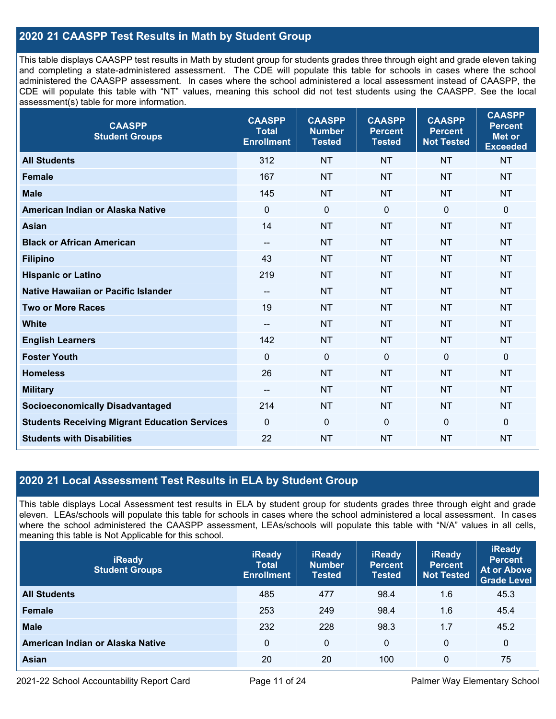### **- 2020 21 CAASPP Test Results in Math by Student Group**

 This table displays CAASPP test results in Math by student group for students grades three through eight and grade eleven taking and completing a state-administered assessment. The CDE will populate this table for schools in cases where the school administered the CAASPP assessment. In cases where the school administered a local assessment instead of CAASPP, the CDE will populate this table with "NT" values, meaning this school did not test students using the CAASPP. See the local assessment(s) table for more information.

| <b>CAASPP</b><br><b>Student Groups</b>               | <b>CAASPP</b><br><b>Total</b><br><b>Enrollment</b> | <b>CAASPP</b><br><b>Number</b><br><b>Tested</b> | <b>CAASPP</b><br><b>Percent</b><br><b>Tested</b> | <b>CAASPP</b><br><b>Percent</b><br><b>Not Tested</b> | <b>CAASPP</b><br><b>Percent</b><br><b>Met or</b><br><b>Exceeded</b> |
|------------------------------------------------------|----------------------------------------------------|-------------------------------------------------|--------------------------------------------------|------------------------------------------------------|---------------------------------------------------------------------|
| <b>All Students</b>                                  | 312                                                | <b>NT</b>                                       | <b>NT</b>                                        | <b>NT</b>                                            | <b>NT</b>                                                           |
| <b>Female</b>                                        | 167                                                | <b>NT</b>                                       | <b>NT</b>                                        | <b>NT</b>                                            | <b>NT</b>                                                           |
| <b>Male</b>                                          | 145                                                | <b>NT</b>                                       | <b>NT</b>                                        | <b>NT</b>                                            | <b>NT</b>                                                           |
| American Indian or Alaska Native                     | $\mathbf 0$                                        | $\mathbf 0$                                     | $\mathbf 0$                                      | $\mathbf 0$                                          | $\mathbf 0$                                                         |
| <b>Asian</b>                                         | 14                                                 | <b>NT</b>                                       | <b>NT</b>                                        | <b>NT</b>                                            | <b>NT</b>                                                           |
| <b>Black or African American</b>                     | $\overline{\phantom{a}}$                           | <b>NT</b>                                       | <b>NT</b>                                        | <b>NT</b>                                            | <b>NT</b>                                                           |
| <b>Filipino</b>                                      | 43                                                 | <b>NT</b>                                       | <b>NT</b>                                        | <b>NT</b>                                            | <b>NT</b>                                                           |
| <b>Hispanic or Latino</b>                            | 219                                                | <b>NT</b>                                       | <b>NT</b>                                        | <b>NT</b>                                            | <b>NT</b>                                                           |
| Native Hawaiian or Pacific Islander                  | $\overline{\phantom{a}}$                           | <b>NT</b>                                       | <b>NT</b>                                        | <b>NT</b>                                            | <b>NT</b>                                                           |
| <b>Two or More Races</b>                             | 19                                                 | <b>NT</b>                                       | <b>NT</b>                                        | <b>NT</b>                                            | <b>NT</b>                                                           |
| <b>White</b>                                         | $\overline{\phantom{a}}$                           | <b>NT</b>                                       | <b>NT</b>                                        | <b>NT</b>                                            | <b>NT</b>                                                           |
| <b>English Learners</b>                              | 142                                                | <b>NT</b>                                       | <b>NT</b>                                        | <b>NT</b>                                            | <b>NT</b>                                                           |
| <b>Foster Youth</b>                                  | $\mathbf{0}$                                       | $\mathbf 0$                                     | $\mathbf 0$                                      | $\mathbf{0}$                                         | $\mathbf 0$                                                         |
| <b>Homeless</b>                                      | 26                                                 | <b>NT</b>                                       | <b>NT</b>                                        | <b>NT</b>                                            | <b>NT</b>                                                           |
| <b>Military</b>                                      | $\overline{\phantom{a}}$                           | <b>NT</b>                                       | <b>NT</b>                                        | <b>NT</b>                                            | <b>NT</b>                                                           |
| <b>Socioeconomically Disadvantaged</b>               | 214                                                | <b>NT</b>                                       | <b>NT</b>                                        | <b>NT</b>                                            | <b>NT</b>                                                           |
| <b>Students Receiving Migrant Education Services</b> | $\mathbf{0}$                                       | $\mathbf 0$                                     | 0                                                | $\mathbf 0$                                          | $\mathbf 0$                                                         |
| <b>Students with Disabilities</b>                    | 22                                                 | <b>NT</b>                                       | <b>NT</b>                                        | <b>NT</b>                                            | <b>NT</b>                                                           |

#### **- 2020 21 Local Assessment Test Results in ELA by Student Group**

 This table displays Local Assessment test results in ELA by student group for students grades three through eight and grade eleven. LEAs/schools will populate this table for schools in cases where the school administered a local assessment. In cases where the school administered the CAASPP assessment, LEAs/schools will populate this table with "N/A" values in all cells, meaning this table is Not Applicable for this school.

| <b>iReady</b><br><b>Student Groups</b> | <b>iReady</b><br><b>Total</b><br><b>Enrollment</b> | <b>iReady</b><br><b>Number</b><br><b>Tested</b> | <b>iReady</b><br><b>Percent</b><br><b>Tested</b> | <b>iReady</b><br><b>Percent</b><br><b>Not Tested</b> | <b>iReady</b><br><b>Percent</b><br><b>At or Above</b><br><b>Grade Level</b> |
|----------------------------------------|----------------------------------------------------|-------------------------------------------------|--------------------------------------------------|------------------------------------------------------|-----------------------------------------------------------------------------|
| <b>All Students</b>                    | 485                                                | 477                                             | 98.4                                             | 1.6                                                  | 45.3                                                                        |
| Female                                 | 253                                                | 249                                             | 98.4                                             | 1.6                                                  | 45.4                                                                        |
| <b>Male</b>                            | 232                                                | 228                                             | 98.3                                             | 1.7                                                  | 45.2                                                                        |
| American Indian or Alaska Native       | $\Omega$                                           | 0                                               | $\mathbf{0}$                                     | $\mathbf{0}$                                         | 0                                                                           |
| Asian                                  | 20                                                 | 20                                              | 100                                              | 0                                                    | 75                                                                          |

2021-22 School Accountability Report Card Page 11 of 24 Palmer Way Elementary School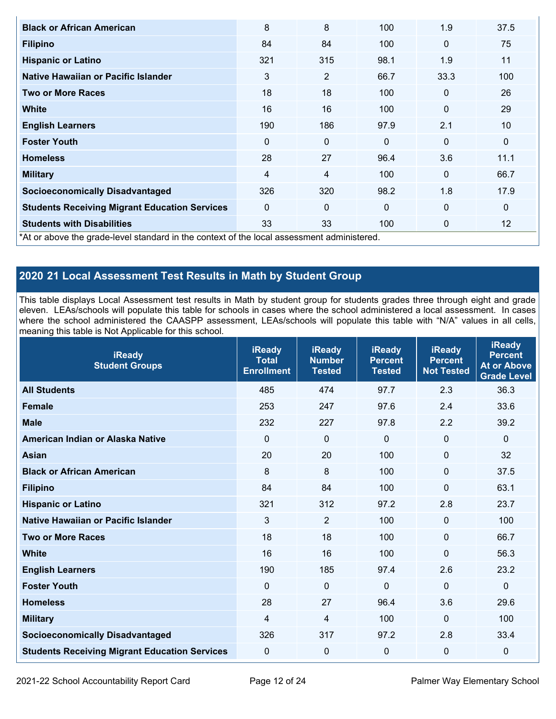| <b>Black or African American</b>                                                           | 8              | 8   | 100          | 1.9          | 37.5        |
|--------------------------------------------------------------------------------------------|----------------|-----|--------------|--------------|-------------|
| <b>Filipino</b>                                                                            | 84             | 84  | 100          | $\mathbf{0}$ | 75          |
| <b>Hispanic or Latino</b>                                                                  | 321            | 315 | 98.1         | 1.9          | 11          |
| Native Hawaiian or Pacific Islander                                                        | 3              | 2   | 66.7         | 33.3         | 100         |
| <b>Two or More Races</b>                                                                   | 18             | 18  | 100          | $\mathbf{0}$ | 26          |
| <b>White</b>                                                                               | 16             | 16  | 100          | $\mathbf 0$  | 29          |
| <b>English Learners</b>                                                                    | 190            | 186 | 97.9         | 2.1          | 10          |
| <b>Foster Youth</b>                                                                        | $\Omega$       | 0   | $\mathbf{0}$ | $\mathbf{0}$ | $\mathbf 0$ |
| <b>Homeless</b>                                                                            | 28             | 27  | 96.4         | 3.6          | 11.1        |
| <b>Military</b>                                                                            | $\overline{4}$ | 4   | 100          | $\mathbf{0}$ | 66.7        |
| <b>Socioeconomically Disadvantaged</b>                                                     | 326            | 320 | 98.2         | 1.8          | 17.9        |
| <b>Students Receiving Migrant Education Services</b>                                       | $\mathbf{0}$   | 0   | $\mathbf 0$  | $\mathbf 0$  | $\mathbf 0$ |
| <b>Students with Disabilities</b>                                                          | 33             | 33  | 100          | $\mathbf 0$  | 12          |
| *At or above the grade-level standard in the context of the local assessment administered. |                |     |              |              |             |

## **- 2020 21 Local Assessment Test Results in Math by Student Group**

 This table displays Local Assessment test results in Math by student group for students grades three through eight and grade eleven. LEAs/schools will populate this table for schools in cases where the school administered a local assessment. In cases where the school administered the CAASPP assessment, LEAs/schools will populate this table with "N/A" values in all cells, meaning this table is Not Applicable for this school.

| <b>iReady</b><br><b>Student Groups</b>               | <b>iReady</b><br><b>Total</b><br><b>Enrollment</b> | <b>iReady</b><br><b>Number</b><br><b>Tested</b> | <b>iReady</b><br><b>Percent</b><br><b>Tested</b> | <b>iReady</b><br><b>Percent</b><br><b>Not Tested</b> | <b>iReady</b><br><b>Percent</b><br><b>At or Above</b><br><b>Grade Level</b> |
|------------------------------------------------------|----------------------------------------------------|-------------------------------------------------|--------------------------------------------------|------------------------------------------------------|-----------------------------------------------------------------------------|
| <b>All Students</b>                                  | 485                                                | 474                                             | 97.7                                             | 2.3                                                  | 36.3                                                                        |
| <b>Female</b>                                        | 253                                                | 247                                             | 97.6                                             | 2.4                                                  | 33.6                                                                        |
| <b>Male</b>                                          | 232                                                | 227                                             | 97.8                                             | 2.2                                                  | 39.2                                                                        |
| American Indian or Alaska Native                     | $\mathbf 0$                                        | $\mathbf 0$                                     | $\Omega$                                         | $\mathbf{0}$                                         | $\mathbf 0$                                                                 |
| <b>Asian</b>                                         | 20                                                 | 20                                              | 100                                              | $\mathbf 0$                                          | 32                                                                          |
| <b>Black or African American</b>                     | 8                                                  | 8                                               | 100                                              | $\mathbf 0$                                          | 37.5                                                                        |
| <b>Filipino</b>                                      | 84                                                 | 84                                              | 100                                              | $\Omega$                                             | 63.1                                                                        |
| <b>Hispanic or Latino</b>                            | 321                                                | 312                                             | 97.2                                             | 2.8                                                  | 23.7                                                                        |
| Native Hawaiian or Pacific Islander                  | 3                                                  | $\overline{2}$                                  | 100                                              | $\mathbf 0$                                          | 100                                                                         |
| <b>Two or More Races</b>                             | 18                                                 | 18                                              | 100                                              | $\mathbf 0$                                          | 66.7                                                                        |
| <b>White</b>                                         | 16                                                 | 16                                              | 100                                              | $\mathbf 0$                                          | 56.3                                                                        |
| <b>English Learners</b>                              | 190                                                | 185                                             | 97.4                                             | 2.6                                                  | 23.2                                                                        |
| <b>Foster Youth</b>                                  | $\mathbf 0$                                        | $\mathbf 0$                                     | 0                                                | $\mathbf 0$                                          | 0                                                                           |
| <b>Homeless</b>                                      | 28                                                 | 27                                              | 96.4                                             | 3.6                                                  | 29.6                                                                        |
| <b>Military</b>                                      | $\overline{\mathbf{4}}$                            | $\overline{4}$                                  | 100                                              | $\mathbf 0$                                          | 100                                                                         |
| <b>Socioeconomically Disadvantaged</b>               | 326                                                | 317                                             | 97.2                                             | 2.8                                                  | 33.4                                                                        |
| <b>Students Receiving Migrant Education Services</b> | 0                                                  | $\mathbf 0$                                     | 0                                                | $\mathbf 0$                                          | 0                                                                           |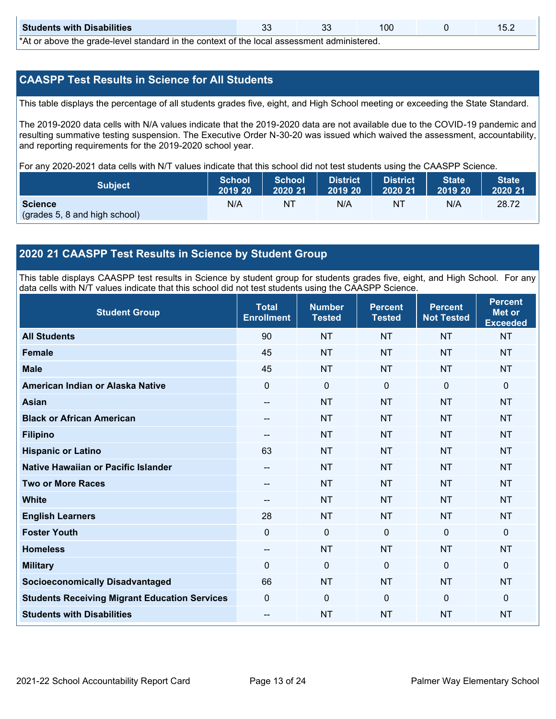| <b>Students with Disabilities</b>                                                                           | n,<br>JL |  | 100 |  |  |  |  |
|-------------------------------------------------------------------------------------------------------------|----------|--|-----|--|--|--|--|
| *At an abacca that would have been doned by the counterst of the house against the substantial and the seal |          |  |     |  |  |  |  |

\*At or above the grade-level standard in the context of the local assessment administered.

#### **CAASPP Test Results in Science for All Students**

This table displays the percentage of all students grades five, eight, and High School meeting or exceeding the State Standard.

 resulting summative testing suspension. The Executive Order N-30-20 was issued which waived the assessment, accountability, The 2019-2020 data cells with N/A values indicate that the 2019-2020 data are not available due to the COVID-19 pandemic and and reporting requirements for the 2019-2020 school year.

For any 2020-2021 data cells with N/T values indicate that this school did not test students using the CAASPP Science.

| <b>Subject</b>                           | <b>School</b> | <b>School</b> | <b>District</b> | District | <b>State</b> | <b>State</b> |
|------------------------------------------|---------------|---------------|-----------------|----------|--------------|--------------|
|                                          | 2019 20       | 2020 21       | 2019 20         | 2020 21  | 2019 20      | 2020 21      |
| Science<br>(grades 5, 8 and high school) | N/A           | ΝT            | N/A             | NT       | N/A          | 28.72        |

#### **- 2020 21 CAASPP Test Results in Science by Student Group**

 This table displays CAASPP test results in Science by student group for students grades five, eight, and High School. For any data cells with N/T values indicate that this school did not test students using the CAASPP Science.

| <b>Student Group</b>                                 | <b>Total</b><br><b>Enrollment</b> | <b>Number</b><br><b>Tested</b> | <b>Percent</b><br><b>Tested</b> | <b>Percent</b><br><b>Not Tested</b> | <b>Percent</b><br><b>Met or</b><br><b>Exceeded</b> |
|------------------------------------------------------|-----------------------------------|--------------------------------|---------------------------------|-------------------------------------|----------------------------------------------------|
| <b>All Students</b>                                  | 90                                | <b>NT</b>                      | <b>NT</b>                       | <b>NT</b>                           | <b>NT</b>                                          |
| <b>Female</b>                                        | 45                                | <b>NT</b>                      | <b>NT</b>                       | <b>NT</b>                           | <b>NT</b>                                          |
| <b>Male</b>                                          | 45                                | <b>NT</b>                      | <b>NT</b>                       | <b>NT</b>                           | <b>NT</b>                                          |
| American Indian or Alaska Native                     | 0                                 | $\mathbf 0$                    | $\mathbf 0$                     | $\mathbf 0$                         | $\mathbf 0$                                        |
| <b>Asian</b>                                         | --                                | <b>NT</b>                      | <b>NT</b>                       | <b>NT</b>                           | <b>NT</b>                                          |
| <b>Black or African American</b>                     | --                                | <b>NT</b>                      | <b>NT</b>                       | <b>NT</b>                           | <b>NT</b>                                          |
| <b>Filipino</b>                                      | --                                | <b>NT</b>                      | <b>NT</b>                       | <b>NT</b>                           | <b>NT</b>                                          |
| <b>Hispanic or Latino</b>                            | 63                                | <b>NT</b>                      | <b>NT</b>                       | <b>NT</b>                           | <b>NT</b>                                          |
| Native Hawaiian or Pacific Islander                  | --                                | <b>NT</b>                      | <b>NT</b>                       | <b>NT</b>                           | <b>NT</b>                                          |
| <b>Two or More Races</b>                             | --                                | <b>NT</b>                      | <b>NT</b>                       | <b>NT</b>                           | <b>NT</b>                                          |
| <b>White</b>                                         | --                                | <b>NT</b>                      | <b>NT</b>                       | <b>NT</b>                           | <b>NT</b>                                          |
| <b>English Learners</b>                              | 28                                | <b>NT</b>                      | <b>NT</b>                       | <b>NT</b>                           | <b>NT</b>                                          |
| <b>Foster Youth</b>                                  | 0                                 | $\mathbf 0$                    | $\mathbf 0$                     | $\overline{0}$                      | $\mathbf 0$                                        |
| <b>Homeless</b>                                      | --                                | <b>NT</b>                      | <b>NT</b>                       | <b>NT</b>                           | <b>NT</b>                                          |
| <b>Military</b>                                      | 0                                 | 0                              | $\mathbf{0}$                    | $\mathbf 0$                         | $\mathbf 0$                                        |
| <b>Socioeconomically Disadvantaged</b>               | 66                                | <b>NT</b>                      | <b>NT</b>                       | <b>NT</b>                           | <b>NT</b>                                          |
| <b>Students Receiving Migrant Education Services</b> | 0                                 | $\mathbf 0$                    | $\mathbf{0}$                    | $\overline{0}$                      | $\mathbf 0$                                        |
| <b>Students with Disabilities</b>                    | --                                | <b>NT</b>                      | <b>NT</b>                       | <b>NT</b>                           | <b>NT</b>                                          |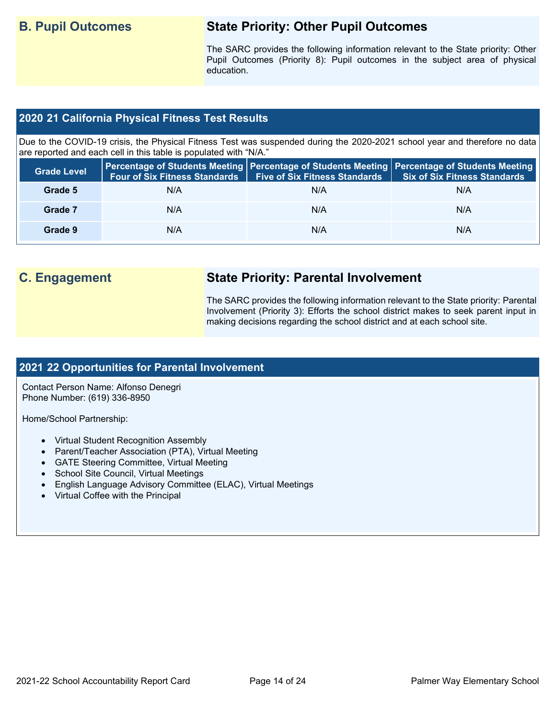## **B. Pupil Outcomes**

## **B. Pupil Outcomes State Priority: Other Pupil Outcomes**

 The SARC provides the following information relevant to the State priority: Other Pupil Outcomes (Priority 8): Pupil outcomes in the subject area of physical education.

#### **- 2020 21 California Physical Fitness Test Results**

 Due to the COVID-19 crisis, the Physical Fitness Test was suspended during the 2020-2021 school year and therefore no data are reported and each cell in this table is populated with "N/A."

| <b>Grade Level</b> | <b>Four of Six Fitness Standards</b> | <b>Five of Six Fitness Standards</b> | Percentage of Students Meeting   Percentage of Students Meeting   Percentage of Students Meeting<br><b>Six of Six Fitness Standards</b> |
|--------------------|--------------------------------------|--------------------------------------|-----------------------------------------------------------------------------------------------------------------------------------------|
| Grade 5            | N/A                                  | N/A                                  | N/A                                                                                                                                     |
| Grade 7            | N/A                                  | N/A                                  | N/A                                                                                                                                     |
| Grade 9            | N/A                                  | N/A                                  | N/A                                                                                                                                     |

## **C. Engagement State Priority: Parental Involvement**

 Involvement (Priority 3): Efforts the school district makes to seek parent input in The SARC provides the following information relevant to the State priority: Parental making decisions regarding the school district and at each school site.

#### **- 2021 22 Opportunities for Parental Involvement**

Contact Person Name: Alfonso Denegri Phone Number: (619) 336-8950

Home/School Partnership:

- Virtual Student Recognition Assembly
- Parent/Teacher Association (PTA), Virtual Meeting
- GATE Steering Committee, Virtual Meeting
- School Site Council, Virtual Meetings
- English Language Advisory Committee (ELAC), Virtual Meetings
- Virtual Coffee with the Principal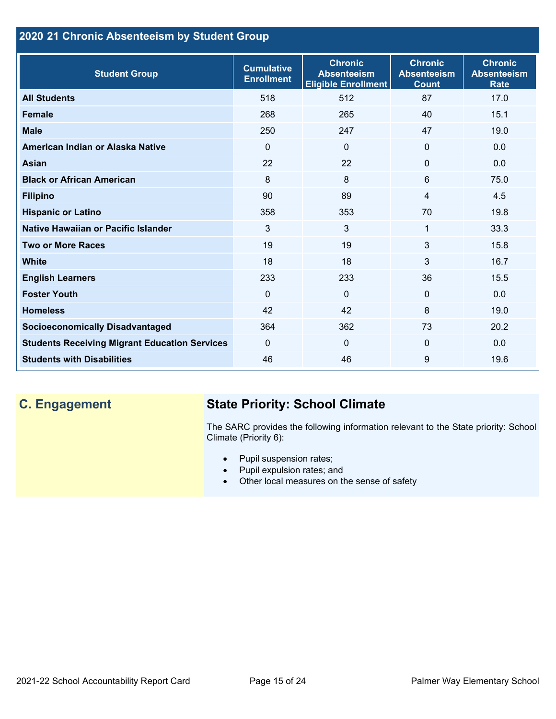## **- 2020 21 Chronic Absenteeism by Student Group**

| <b>Student Group</b>                                 | <b>Cumulative</b><br><b>Enrollment</b> | <b>Chronic</b><br><b>Absenteeism</b><br><b>Eligible Enrollment</b> | <b>Chronic</b><br><b>Absenteeism</b><br><b>Count</b> | <b>Chronic</b><br><b>Absenteeism</b><br><b>Rate</b> |
|------------------------------------------------------|----------------------------------------|--------------------------------------------------------------------|------------------------------------------------------|-----------------------------------------------------|
| <b>All Students</b>                                  | 518                                    | 512                                                                | 87                                                   | 17.0                                                |
| <b>Female</b>                                        | 268                                    | 265                                                                | 40                                                   | 15.1                                                |
| <b>Male</b>                                          | 250                                    | 247                                                                | 47                                                   | 19.0                                                |
| American Indian or Alaska Native                     | $\Omega$                               | $\Omega$                                                           | $\Omega$                                             | 0.0                                                 |
| Asian                                                | 22                                     | 22                                                                 | $\mathbf{0}$                                         | 0.0                                                 |
| <b>Black or African American</b>                     | 8                                      | 8                                                                  | $6\phantom{1}6$                                      | 75.0                                                |
| <b>Filipino</b>                                      | 90                                     | 89                                                                 | $\overline{4}$                                       | 4.5                                                 |
| <b>Hispanic or Latino</b>                            | 358                                    | 353                                                                | 70                                                   | 19.8                                                |
| Native Hawaiian or Pacific Islander                  | 3                                      | 3                                                                  | 1                                                    | 33.3                                                |
| <b>Two or More Races</b>                             | 19                                     | 19                                                                 | 3                                                    | 15.8                                                |
| <b>White</b>                                         | 18                                     | 18                                                                 | 3                                                    | 16.7                                                |
| <b>English Learners</b>                              | 233                                    | 233                                                                | 36                                                   | 15.5                                                |
| <b>Foster Youth</b>                                  | $\Omega$                               | $\mathbf 0$                                                        | $\mathbf{0}$                                         | 0.0                                                 |
| <b>Homeless</b>                                      | 42                                     | 42                                                                 | 8                                                    | 19.0                                                |
| <b>Socioeconomically Disadvantaged</b>               | 364                                    | 362                                                                | 73                                                   | 20.2                                                |
| <b>Students Receiving Migrant Education Services</b> | $\mathbf{0}$                           | $\mathbf 0$                                                        | $\Omega$                                             | 0.0                                                 |
| <b>Students with Disabilities</b>                    | 46                                     | 46                                                                 | 9                                                    | 19.6                                                |

## **C. Engagement State Priority: School Climate**

 The SARC provides the following information relevant to the State priority: School Climate (Priority 6):

- Pupil suspension rates;
- Pupil expulsion rates; and
- Other local measures on the sense of safety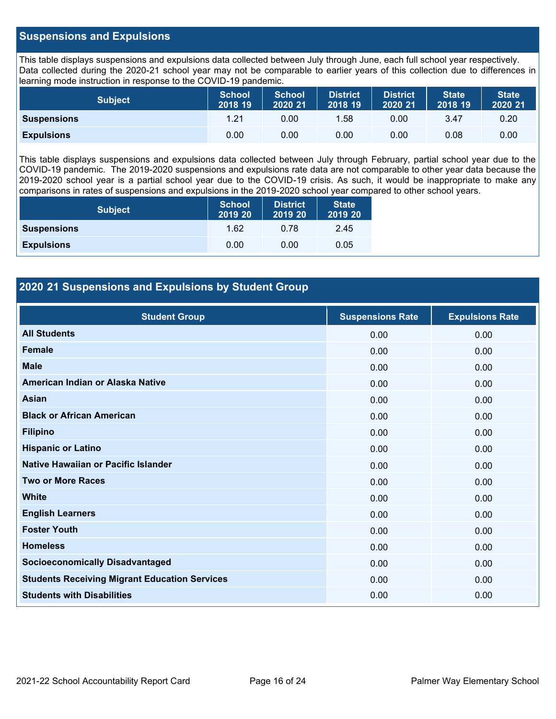#### **Suspensions and Expulsions**

 This table displays suspensions and expulsions data collected between July through June, each full school year respectively. Data collected during the 2020-21 school year may not be comparable to earlier years of this collection due to differences in learning mode instruction in response to the COVID-19 pandemic.

| <b>Subject</b>     | <b>School</b><br>2018 19 | <b>School</b><br>2020 21 | <b>District</b><br>2018 19 | <b>District</b><br>2020 21 | <b>State</b><br>2018 19 | <b>State</b><br>2020 21 |
|--------------------|--------------------------|--------------------------|----------------------------|----------------------------|-------------------------|-------------------------|
| <b>Suspensions</b> | 1.21                     | 0.00                     | .58                        | 0.00                       | 3.47                    | 0.20                    |
| <b>Expulsions</b>  | 0.00                     | 0.00                     | 0.00                       | 0.00                       | 0.08                    | 0.00                    |

 This table displays suspensions and expulsions data collected between July through February, partial school year due to the COVID-19 pandemic. The 2019-2020 suspensions and expulsions rate data are not comparable to other year data because the 2019-2020 school year is a partial school year due to the COVID-19 crisis. As such, it would be inappropriate to make any comparisons in rates of suspensions and expulsions in the 2019-2020 school year compared to other school years.

| <b>Subject</b>     | <b>School</b><br>2019 20 | <b>District</b><br>2019 20 | <b>State</b><br>2019 20 |
|--------------------|--------------------------|----------------------------|-------------------------|
| <b>Suspensions</b> | 1.62                     | 0.78                       | 2.45                    |
| <b>Expulsions</b>  | 0.00                     | 0.00                       | 0.05                    |

#### **- 2020 21 Suspensions and Expulsions by Student Group**

| <b>Student Group</b>                                 | <b>Suspensions Rate</b> | <b>Expulsions Rate</b> |
|------------------------------------------------------|-------------------------|------------------------|
| <b>All Students</b>                                  | 0.00                    | 0.00                   |
| <b>Female</b>                                        | 0.00                    | 0.00                   |
| <b>Male</b>                                          | 0.00                    | 0.00                   |
| American Indian or Alaska Native                     | 0.00                    | 0.00                   |
| <b>Asian</b>                                         | 0.00                    | 0.00                   |
| <b>Black or African American</b>                     | 0.00                    | 0.00                   |
| <b>Filipino</b>                                      | 0.00                    | 0.00                   |
| <b>Hispanic or Latino</b>                            | 0.00                    | 0.00                   |
| Native Hawaiian or Pacific Islander                  | 0.00                    | 0.00                   |
| <b>Two or More Races</b>                             | 0.00                    | 0.00                   |
| <b>White</b>                                         | 0.00                    | 0.00                   |
| <b>English Learners</b>                              | 0.00                    | 0.00                   |
| <b>Foster Youth</b>                                  | 0.00                    | 0.00                   |
| <b>Homeless</b>                                      | 0.00                    | 0.00                   |
| <b>Socioeconomically Disadvantaged</b>               | 0.00                    | 0.00                   |
| <b>Students Receiving Migrant Education Services</b> | 0.00                    | 0.00                   |
| <b>Students with Disabilities</b>                    | 0.00                    | 0.00                   |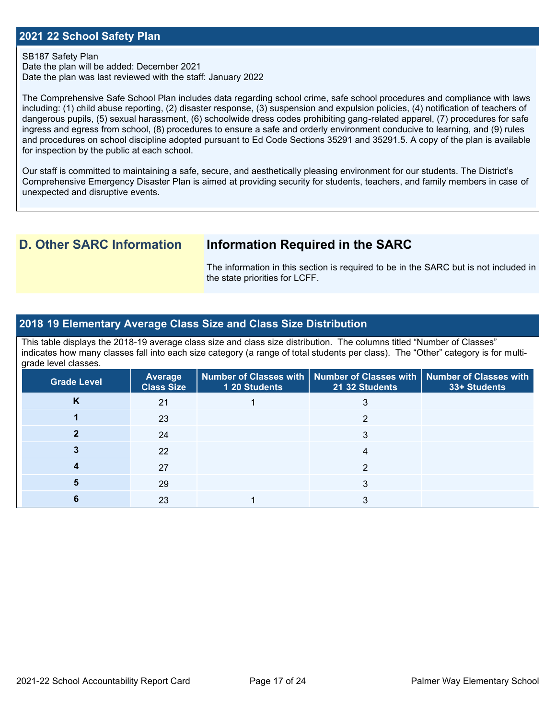#### **- 2021 22 School Safety Plan**

#### SB187 Safety Plan

 Date the plan was last reviewed with the staff: January 2022 Date the plan will be added: December 2021

 The Comprehensive Safe School Plan includes data regarding school crime, safe school procedures and compliance with laws and procedures on school discipline adopted pursuant to Ed Code Sections 35291 and 35291.5. A copy of the plan is available including: (1) child abuse reporting, (2) disaster response, (3) suspension and expulsion policies, (4) notification of teachers of dangerous pupils, (5) sexual harassment, (6) schoolwide dress codes prohibiting gang-related apparel, (7) procedures for safe ingress and egress from school, (8) procedures to ensure a safe and orderly environment conducive to learning, and (9) rules for inspection by the public at each school.

Our staff is committed to maintaining a safe, secure, and aesthetically pleasing environment for our students. The District's Comprehensive Emergency Disaster Plan is aimed at providing security for students, teachers, and family members in case of unexpected and disruptive events.

## **D. Other SARC Information**

## **Information Required in the SARC**

 The information in this section is required to be in the SARC but is not included in the state priorities for LCFF.

#### **- 2018 19 Elementary Average Class Size and Class Size Distribution**

This table displays the 2018-19 average class size and class size distribution. The columns titled "Number of Classes" indicates how many classes fall into each size category (a range of total students per class). The "Other" category is for multigrade level classes.

| <b>Grade Level</b> | <b>Average</b><br><b>Class Size</b> | 1 20 Students | Number of Classes with   Number of Classes with   Number of Classes with<br>21 32 Students | 33+ Students |
|--------------------|-------------------------------------|---------------|--------------------------------------------------------------------------------------------|--------------|
| N                  | 21                                  |               |                                                                                            |              |
|                    | 23                                  |               | ◠                                                                                          |              |
|                    | 24                                  |               |                                                                                            |              |
|                    | 22                                  |               | 4                                                                                          |              |
|                    | 27                                  |               |                                                                                            |              |
|                    | 29                                  |               |                                                                                            |              |
|                    | 23                                  |               |                                                                                            |              |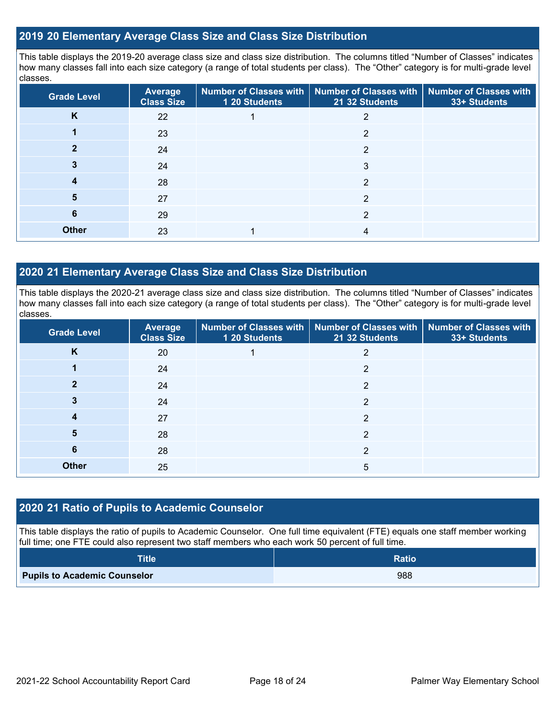#### **- 2019 20 Elementary Average Class Size and Class Size Distribution**

 how many classes fall into each size category (a range of total students per class). The "Other" category is for multi-grade level This table displays the 2019-20 average class size and class size distribution. The columns titled "Number of Classes" indicates classes.

| <b>Grade Level</b> | <b>Average</b><br><b>Class Size</b> | 1 20 Students | Number of Classes with   Number of Classes with  <br>21 32 Students | <b>Number of Classes with</b><br>33+ Students |
|--------------------|-------------------------------------|---------------|---------------------------------------------------------------------|-----------------------------------------------|
| K                  | 22                                  |               | 2                                                                   |                                               |
|                    | 23                                  |               | 2                                                                   |                                               |
|                    | 24                                  |               | 2                                                                   |                                               |
|                    | 24                                  |               | 3                                                                   |                                               |
| 4                  | 28                                  |               | $\overline{2}$                                                      |                                               |
| 5                  | 27                                  |               | 2                                                                   |                                               |
| 6                  | 29                                  |               | 2                                                                   |                                               |
| <b>Other</b>       | 23                                  |               | 4                                                                   |                                               |

#### **- 2020 21 Elementary Average Class Size and Class Size Distribution**

This table displays the 2020-21 average class size and class size distribution. The columns titled "Number of Classes" indicates how many classes fall into each size category (a range of total students per class). The "Other" category is for multi-grade level classes.

| <b>Grade Level</b> | <b>Average</b><br><b>Class Size</b> | 1 20 Students | Number of Classes with   Number of Classes with   Number of Classes with<br>21 32 Students | 33+ Students |
|--------------------|-------------------------------------|---------------|--------------------------------------------------------------------------------------------|--------------|
| K                  | 20                                  |               | 2                                                                                          |              |
|                    | 24                                  |               | $\overline{2}$                                                                             |              |
| 2                  | 24                                  |               | C                                                                                          |              |
|                    | 24                                  |               | 2                                                                                          |              |
| 4                  | 27                                  |               | 2                                                                                          |              |
| 5                  | 28                                  |               | 2                                                                                          |              |
| 6                  | 28                                  |               | 2                                                                                          |              |
| <b>Other</b>       | 25                                  |               | 5                                                                                          |              |

#### **- 2020 21 Ratio of Pupils to Academic Counselor**

This table displays the ratio of pupils to Academic Counselor. One full time equivalent (FTE) equals one staff member working full time; one FTE could also represent two staff members who each work 50 percent of full time.

| <b>Title</b>                        | <b>Ratio</b> |
|-------------------------------------|--------------|
| <b>Pupils to Academic Counselor</b> | 988          |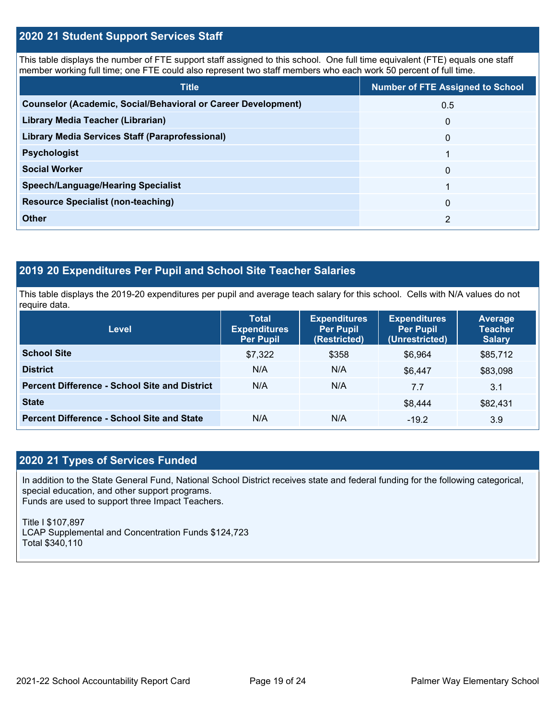#### **- 2020 21 Student Support Services Staff**

 This table displays the number of FTE support staff assigned to this school. One full time equivalent (FTE) equals one staff member working full time; one FTE could also represent two staff members who each work 50 percent of full time.

| <b>Title</b>                                                         | <b>Number of FTE Assigned to School</b> |
|----------------------------------------------------------------------|-----------------------------------------|
| <b>Counselor (Academic, Social/Behavioral or Career Development)</b> | 0.5                                     |
| Library Media Teacher (Librarian)                                    | $\mathbf{0}$                            |
| <b>Library Media Services Staff (Paraprofessional)</b>               | $\mathbf{0}$                            |
| <b>Psychologist</b>                                                  |                                         |
| <b>Social Worker</b>                                                 | 0                                       |
| <b>Speech/Language/Hearing Specialist</b>                            |                                         |
| <b>Resource Specialist (non-teaching)</b>                            | $\mathbf{0}$                            |
| <b>Other</b>                                                         | 2                                       |

#### **- 2019 20 Expenditures Per Pupil and School Site Teacher Salaries**

This table displays the 2019-20 expenditures per pupil and average teach salary for this school. Cells with N/A values do not require data.

| <b>Level</b>                                         | <b>Total</b><br><b>Expenditures</b><br>Per Pupil | <b>Expenditures</b><br><b>Per Pupil</b><br>(Restricted) | <b>Expenditures</b><br><b>Per Pupil</b><br>(Unrestricted) | Average<br><b>Teacher</b><br><b>Salary</b> |
|------------------------------------------------------|--------------------------------------------------|---------------------------------------------------------|-----------------------------------------------------------|--------------------------------------------|
| <b>School Site</b>                                   | \$7,322                                          | \$358                                                   | \$6,964                                                   | \$85,712                                   |
| <b>District</b>                                      | N/A                                              | N/A                                                     | \$6,447                                                   | \$83,098                                   |
| <b>Percent Difference - School Site and District</b> | N/A                                              | N/A                                                     | 7.7                                                       | 3.1                                        |
| <b>State</b>                                         |                                                  |                                                         | \$8,444                                                   | \$82,431                                   |
| <b>Percent Difference - School Site and State</b>    | N/A                                              | N/A                                                     | $-19.2$                                                   | 3.9                                        |

#### **- 2020 21 Types of Services Funded**

 In addition to the State General Fund, National School District receives state and federal funding for the following categorical, special education, and other support programs. Funds are used to support three Impact Teachers.

Title I \$107,897 LCAP Supplemental and Concentration Funds \$124,723 Total \$340,110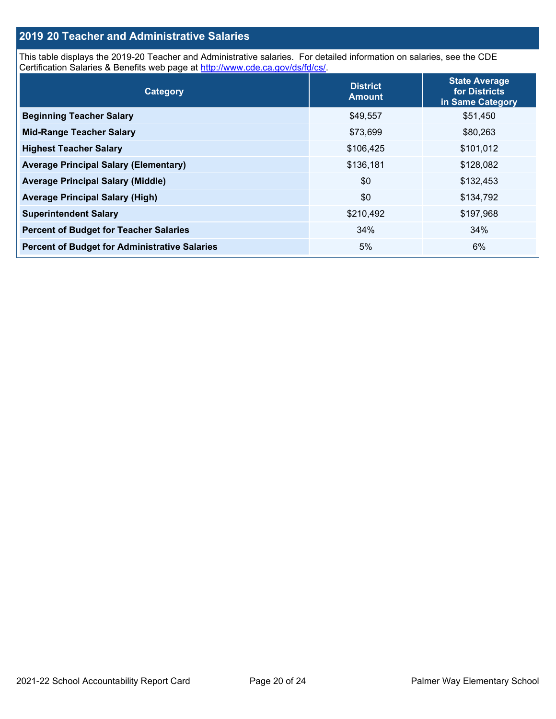#### **2019 20 Teacher and Administrative Salaries**

Certification Salaries & Benefits web page at [http://www.cde.ca.gov/ds/fd/cs/.](http://www.cde.ca.gov/ds/fd/cs/) This table displays the 2019-20 Teacher and Administrative salaries. For detailed information on salaries, see the CDE

| Category                                             | <b>District</b><br><b>Amount</b> | <b>State Average</b><br>for Districts<br>in Same Category |
|------------------------------------------------------|----------------------------------|-----------------------------------------------------------|
| <b>Beginning Teacher Salary</b>                      | \$49,557                         | \$51,450                                                  |
| <b>Mid-Range Teacher Salary</b>                      | \$73,699                         | \$80,263                                                  |
| <b>Highest Teacher Salary</b>                        | \$106,425                        | \$101,012                                                 |
| <b>Average Principal Salary (Elementary)</b>         | \$136,181                        | \$128,082                                                 |
| <b>Average Principal Salary (Middle)</b>             | \$0                              | \$132,453                                                 |
| <b>Average Principal Salary (High)</b>               | \$0                              | \$134,792                                                 |
| <b>Superintendent Salary</b>                         | \$210,492                        | \$197,968                                                 |
| <b>Percent of Budget for Teacher Salaries</b>        | 34%                              | 34%                                                       |
| <b>Percent of Budget for Administrative Salaries</b> | 5%                               | 6%                                                        |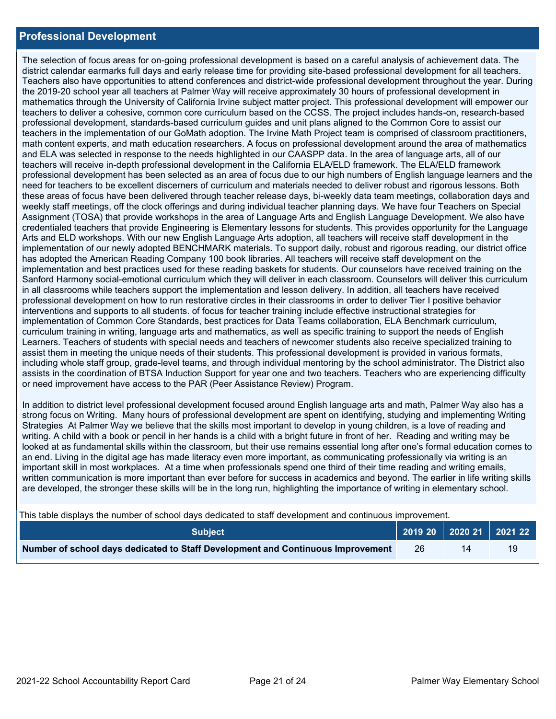#### **Professional Development**

 The selection of focus areas for on-going professional development is based on a careful analysis of achievement data. The teachers in the implementation of our GoMath adoption. The Irvine Math Project team is comprised of classroom practitioners, and ELA was selected in response to the needs highlighted in our CAASPP data. In the area of language arts, all of our professional development has been selected as an area of focus due to our high numbers of English language learners and the need for teachers to be excellent discerners of curriculum and materials needed to deliver robust and rigorous lessons. Both weekly staff meetings, off the clock offerings and during individual teacher planning days. We have four Teachers on Special implementation and best practices used for these reading baskets for students. Our counselors have received training on the professional development on how to run restorative circles in their classrooms in order to deliver Tier I positive behavior assists in the coordination of BTSA Induction Support for year one and two teachers. Teachers who are experiencing difficulty district calendar earmarks full days and early release time for providing site-based professional development for all teachers. Teachers also have opportunities to attend conferences and district-wide professional development throughout the year. During the 2019-20 school year all teachers at Palmer Way will receive approximately 30 hours of professional development in mathematics through the University of California Irvine subject matter project. This professional development will empower our teachers to deliver a cohesive, common core curriculum based on the CCSS. The project includes hands-on, research-based professional development, standards-based curriculum guides and unit plans aligned to the Common Core to assist our math content experts, and math education researchers. A focus on professional development around the area of mathematics teachers will receive in-depth professional development in the California ELA/ELD framework. The ELA/ELD framework these areas of focus have been delivered through teacher release days, bi-weekly data team meetings, collaboration days and Assignment (TOSA) that provide workshops in the area of Language Arts and English Language Development. We also have credentialed teachers that provide Engineering is Elementary lessons for students. This provides opportunity for the Language Arts and ELD workshops. With our new English Language Arts adoption, all teachers will receive staff development in the implementation of our newly adopted BENCHMARK materials. To support daily, robust and rigorous reading, our district office has adopted the American Reading Company 100 book libraries. All teachers will receive staff development on the Sanford Harmony social-emotional curriculum which they will deliver in each classroom. Counselors will deliver this curriculum in all classrooms while teachers support the implementation and lesson delivery. In addition, all teachers have received interventions and supports to all students. of focus for teacher training include effective instructional strategies for implementation of Common Core Standards, best practices for Data Teams collaboration, ELA Benchmark curriculum, curriculum training in writing, language arts and mathematics, as well as specific training to support the needs of English Learners. Teachers of students with special needs and teachers of newcomer students also receive specialized training to assist them in meeting the unique needs of their students. This professional development is provided in various formats, including whole staff group, grade-level teams, and through individual mentoring by the school administrator. The District also or need improvement have access to the PAR (Peer Assistance Review) Program.

 writing. A child with a book or pencil in her hands is a child with a bright future in front of her. Reading and writing may be an end. Living in the digital age has made literacy even more important, as communicating professionally via writing is an are developed, the stronger these skills will be in the long run, highlighting the importance of writing in elementary school. In addition to district level professional development focused around English language arts and math, Palmer Way also has a strong focus on Writing. Many hours of professional development are spent on identifying, studying and implementing Writing Strategies At Palmer Way we believe that the skills most important to develop in young children, is a love of reading and looked at as fundamental skills within the classroom, but their use remains essential long after one's formal education comes to important skill in most workplaces. At a time when professionals spend one third of their time reading and writing emails, written communication is more important than ever before for success in academics and beyond. The earlier in life writing skills

This table displays the number of school days dedicated to staff development and continuous improvement.

| <b>Subject</b>                                                                  |    |    | 2019 20 2020 21 2021 22 |
|---------------------------------------------------------------------------------|----|----|-------------------------|
| Number of school days dedicated to Staff Development and Continuous Improvement | 26 | 14 | 19                      |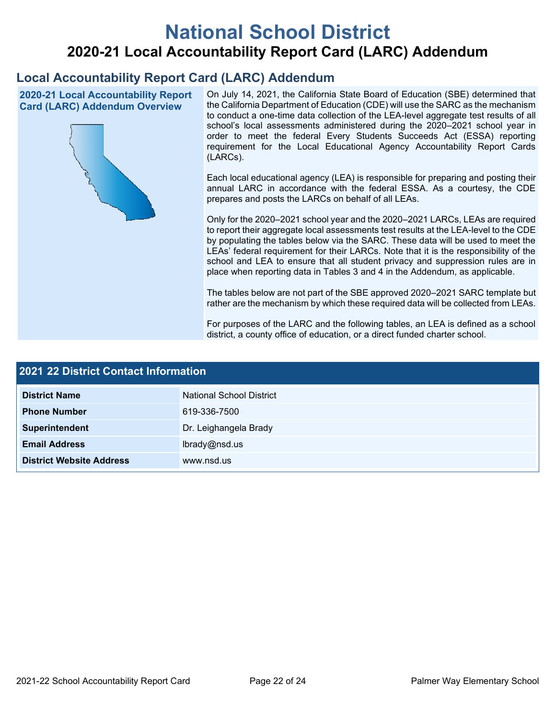# **National School District 2020-21 Local Accountability Report Card (LARC) Addendum**

## **Local Accountability Report Card (LARC) Addendum**

 **2020-21 Local Accountability Report Card (LARC) Addendum Overview** 



 the California Department of Education (CDE) will use the SARC as the mechanism to conduct a one-time data collection of the LEA-level aggregate test results of all school's local assessments administered during the 2020–2021 school year in order to meet the federal Every Students Succeeds Act (ESSA) reporting requirement for the Local Educational Agency Accountability Report Cards On July 14, 2021, the California State Board of Education (SBE) determined that (LARCs).

 Each local educational agency (LEA) is responsible for preparing and posting their annual LARC in accordance with the federal ESSA. As a courtesy, the CDE prepares and posts the LARCs on behalf of all LEAs.

 Only for the 2020–2021 school year and the 2020–2021 LARCs, LEAs are required to report their aggregate local assessments test results at the LEA-level to the CDE by populating the tables below via the SARC. These data will be used to meet the LEAs' federal requirement for their LARCs. Note that it is the responsibility of the school and LEA to ensure that all student privacy and suppression rules are in place when reporting data in Tables 3 and 4 in the Addendum, as applicable.

 The tables below are not part of the SBE approved 2020–2021 SARC template but rather are the mechanism by which these required data will be collected from LEAs.

 For purposes of the LARC and the following tables, an LEA is defined as a school district, a county office of education, or a direct funded charter school.

| 2021 22 District Contact Information      |                                 |                              |  |  |  |
|-------------------------------------------|---------------------------------|------------------------------|--|--|--|
| <b>District Name</b>                      | <b>National School District</b> |                              |  |  |  |
| <b>Phone Number</b>                       | 619-336-7500                    |                              |  |  |  |
| Superintendent                            | Dr. Leighangela Brady           |                              |  |  |  |
| <b>Email Address</b>                      | lbrady@nsd.us                   |                              |  |  |  |
| <b>District Website Address</b>           | www.nsd.us                      |                              |  |  |  |
|                                           |                                 |                              |  |  |  |
|                                           |                                 |                              |  |  |  |
|                                           |                                 |                              |  |  |  |
|                                           |                                 |                              |  |  |  |
|                                           |                                 |                              |  |  |  |
|                                           |                                 |                              |  |  |  |
| 2021-22 School Accountability Report Card | Page 22 of 24                   | Palmer Way Elementary School |  |  |  |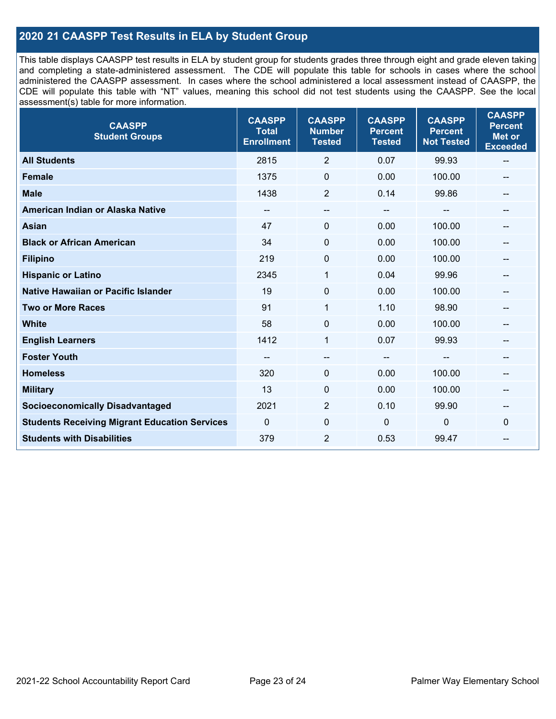### **2020 21 CAASPP Test Results in ELA by Student Group**

 and completing a state-administered assessment. The CDE will populate this table for schools in cases where the school administered the CAASPP assessment. In cases where the school administered a local assessment instead of CAASPP, the CDE will populate this table with "NT" values, meaning this school did not test students using the CAASPP. See the local This table displays CAASPP test results in ELA by student group for students grades three through eight and grade eleven taking assessment(s) table for more information.

| <b>CAASPP</b><br><b>Student Groups</b>               | <b>CAASPP</b><br><b>Total</b><br><b>Enrollment</b> | <b>CAASPP</b><br><b>Number</b><br><b>Tested</b> | <b>CAASPP</b><br><b>Percent</b><br><b>Tested</b> | <b>CAASPP</b><br><b>Percent</b><br><b>Not Tested</b> | <b>CAASPP</b><br><b>Percent</b><br><b>Met or</b><br><b>Exceeded</b> |
|------------------------------------------------------|----------------------------------------------------|-------------------------------------------------|--------------------------------------------------|------------------------------------------------------|---------------------------------------------------------------------|
| <b>All Students</b>                                  | 2815                                               | $\overline{2}$                                  | 0.07                                             | 99.93                                                | $\sim$                                                              |
| <b>Female</b>                                        | 1375                                               | $\mathbf 0$                                     | 0.00                                             | 100.00                                               |                                                                     |
| <b>Male</b>                                          | 1438                                               | $\overline{2}$                                  | 0.14                                             | 99.86                                                | --                                                                  |
| American Indian or Alaska Native                     | $\hspace{0.05cm}$ – $\hspace{0.05cm}$              | --                                              | --                                               | --                                                   | --                                                                  |
| <b>Asian</b>                                         | 47                                                 | $\mathbf 0$                                     | 0.00                                             | 100.00                                               |                                                                     |
| <b>Black or African American</b>                     | 34                                                 | $\mathbf 0$                                     | 0.00                                             | 100.00                                               | --                                                                  |
| <b>Filipino</b>                                      | 219                                                | $\mathbf 0$                                     | 0.00                                             | 100.00                                               |                                                                     |
| <b>Hispanic or Latino</b>                            | 2345                                               | 1                                               | 0.04                                             | 99.96                                                | --                                                                  |
| Native Hawaiian or Pacific Islander                  | 19                                                 | $\pmb{0}$                                       | 0.00                                             | 100.00                                               | --                                                                  |
| <b>Two or More Races</b>                             | 91                                                 | 1                                               | 1.10                                             | 98.90                                                |                                                                     |
| <b>White</b>                                         | 58                                                 | 0                                               | 0.00                                             | 100.00                                               | $- -$                                                               |
| <b>English Learners</b>                              | 1412                                               | $\mathbf{1}$                                    | 0.07                                             | 99.93                                                |                                                                     |
| <b>Foster Youth</b>                                  | --                                                 | $\qquad \qquad -$                               | --                                               |                                                      | --                                                                  |
| <b>Homeless</b>                                      | 320                                                | $\mathbf 0$                                     | 0.00                                             | 100.00                                               | --                                                                  |
| <b>Military</b>                                      | 13                                                 | 0                                               | 0.00                                             | 100.00                                               | --                                                                  |
| <b>Socioeconomically Disadvantaged</b>               | 2021                                               | $\overline{2}$                                  | 0.10                                             | 99.90                                                | $\qquad \qquad \cdots$                                              |
| <b>Students Receiving Migrant Education Services</b> | $\mathbf 0$                                        | 0                                               | 0                                                | 0                                                    | 0                                                                   |
| <b>Students with Disabilities</b>                    | 379                                                | 2                                               | 0.53                                             | 99.47                                                | $- -$                                                               |